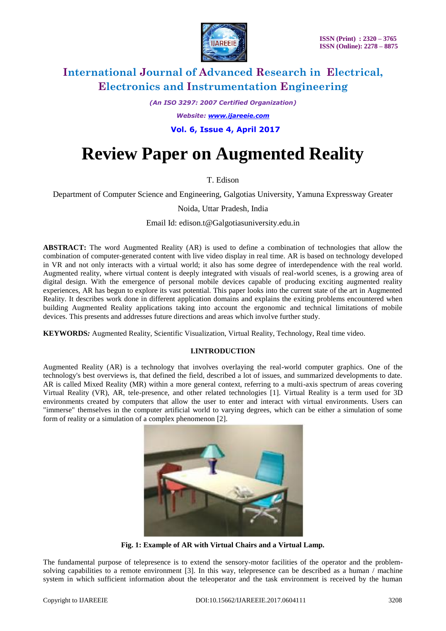

*(An ISO 3297: 2007 Certified Organization)*

*Website: [www.ijareeie.com](http://www.ijareeie.com/)*

 **Vol. 6, Issue 4, April 2017**

# **Review Paper on Augmented Reality**

T. Edison

Department of Computer Science and Engineering, Galgotias University, Yamuna Expressway Greater

Noida, Uttar Pradesh, India

Email Id: edison.t@Galgotiasuniversity.edu.in

**ABSTRACT:** The word Augmented Reality (AR) is used to define a combination of technologies that allow the combination of computer-generated content with live video display in real time. AR is based on technology developed in VR and not only interacts with a virtual world; it also has some degree of interdependence with the real world. Augmented reality, where virtual content is deeply integrated with visuals of real-world scenes, is a growing area of digital design. With the emergence of personal mobile devices capable of producing exciting augmented reality experiences, AR has begun to explore its vast potential. This paper looks into the current state of the art in Augmented Reality. It describes work done in different application domains and explains the exiting problems encountered when building Augmented Reality applications taking into account the ergonomic and technical limitations of mobile devices. This presents and addresses future directions and areas which involve further study.

**KEYWORDS***:* Augmented Reality, Scientific Visualization, Virtual Reality, Technology, Real time video.

#### **I.INTRODUCTION**

Augmented Reality (AR) is a technology that involves overlaying the real-world computer graphics. One of the technology's best overviews is, that defined the field, described a lot of issues, and summarized developments to date. AR is called Mixed Reality (MR) within a more general context, referring to a multi-axis spectrum of areas covering Virtual Reality (VR), AR, tele-presence, and other related technologies [1]. Virtual Reality is a term used for 3D environments created by computers that allow the user to enter and interact with virtual environments. Users can "immerse" themselves in the computer artificial world to varying degrees, which can be either a simulation of some form of reality or a simulation of a complex phenomenon [2].



**Fig. 1: Example of AR with Virtual Chairs and a Virtual Lamp.**

The fundamental purpose of telepresence is to extend the sensory-motor facilities of the operator and the problemsolving capabilities to a remote environment [3]. In this way, telepresence can be described as a human / machine system in which sufficient information about the teleoperator and the task environment is received by the human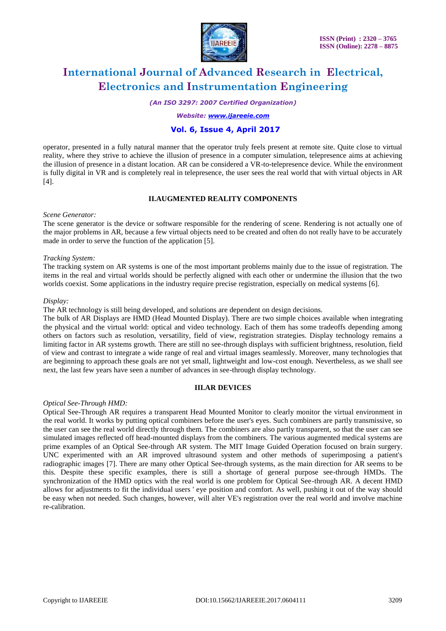

*(An ISO 3297: 2007 Certified Organization)*

*Website: [www.ijareeie.com](http://www.ijareeie.com/)*

### **Vol. 6, Issue 4, April 2017**

operator, presented in a fully natural manner that the operator truly feels present at remote site. Quite close to virtual reality, where they strive to achieve the illusion of presence in a computer simulation, telepresence aims at achieving the illusion of presence in a distant location. AR can be considered a VR-to-telepresence device. While the environment is fully digital in VR and is completely real in telepresence, the user sees the real world that with virtual objects in AR [4].

### **II.AUGMENTED REALITY COMPONENTS**

#### *Scene Generator:*

The scene generator is the device or software responsible for the rendering of scene. Rendering is not actually one of the major problems in AR, because a few virtual objects need to be created and often do not really have to be accurately made in order to serve the function of the application [5].

#### *Tracking System:*

The tracking system on AR systems is one of the most important problems mainly due to the issue of registration. The items in the real and virtual worlds should be perfectly aligned with each other or undermine the illusion that the two worlds coexist. Some applications in the industry require precise registration, especially on medical systems [6].

#### *Display:*

The AR technology is still being developed, and solutions are dependent on design decisions.

The bulk of AR Displays are HMD (Head Mounted Display). There are two simple choices available when integrating the physical and the virtual world: optical and video technology. Each of them has some tradeoffs depending among others on factors such as resolution, versatility, field of view, registration strategies. Display technology remains a limiting factor in AR systems growth. There are still no see-through displays with sufficient brightness, resolution, field of view and contrast to integrate a wide range of real and virtual images seamlessly. Moreover, many technologies that are beginning to approach these goals are not yet small, lightweight and low-cost enough. Nevertheless, as we shall see next, the last few years have seen a number of advances in see-through display technology.

#### **III.AR DEVICES**

#### *Optical See-Through HMD:*

Optical See-Through AR requires a transparent Head Mounted Monitor to clearly monitor the virtual environment in the real world. It works by putting optical combiners before the user's eyes. Such combiners are partly transmissive, so the user can see the real world directly through them. The combiners are also partly transparent, so that the user can see simulated images reflected off head-mounted displays from the combiners. The various augmented medical systems are prime examples of an Optical See-through AR system. The MIT Image Guided Operation focused on brain surgery. UNC experimented with an AR improved ultrasound system and other methods of superimposing a patient's radiographic images [7]. There are many other Optical See-through systems, as the main direction for AR seems to be this. Despite these specific examples, there is still a shortage of general purpose see-through HMDs. The synchronization of the HMD optics with the real world is one problem for Optical See-through AR. A decent HMD allows for adjustments to fit the individual users ' eye position and comfort. As well, pushing it out of the way should be easy when not needed. Such changes, however, will alter VE's registration over the real world and involve machine re-calibration.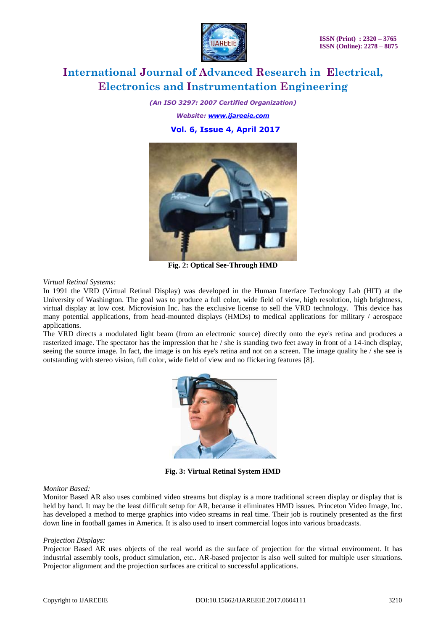

*(An ISO 3297: 2007 Certified Organization) Website: [www.ijareeie.com](http://www.ijareeie.com/)*  **Vol. 6, Issue 4, April 2017**



**Fig. 2: Optical See-Through HMD**

*Virtual Retinal Systems:*

In 1991 the VRD (Virtual Retinal Display) was developed in the Human Interface Technology Lab (HIT) at the University of Washington. The goal was to produce a full color, wide field of view, high resolution, high brightness, virtual display at low cost. Microvision Inc. has the exclusive license to sell the VRD technology. This device has many potential applications, from head-mounted displays (HMDs) to medical applications for military / aerospace applications.

The VRD directs a modulated light beam (from an electronic source) directly onto the eye's retina and produces a rasterized image. The spectator has the impression that he / she is standing two feet away in front of a 14-inch display, seeing the source image. In fact, the image is on his eye's retina and not on a screen. The image quality he / she see is outstanding with stereo vision, full color, wide field of view and no flickering features [8].



**Fig. 3: Virtual Retinal System HMD**

#### *Monitor Based:*

Monitor Based AR also uses combined video streams but display is a more traditional screen display or display that is held by hand. It may be the least difficult setup for AR, because it eliminates HMD issues. Princeton Video Image, Inc. has developed a method to merge graphics into video streams in real time. Their job is routinely presented as the first down line in football games in America. It is also used to insert commercial logos into various broadcasts.

#### *Projection Displays:*

Projector Based AR uses objects of the real world as the surface of projection for the virtual environment. It has industrial assembly tools, product simulation, etc.. AR-based projector is also well suited for multiple user situations. Projector alignment and the projection surfaces are critical to successful applications.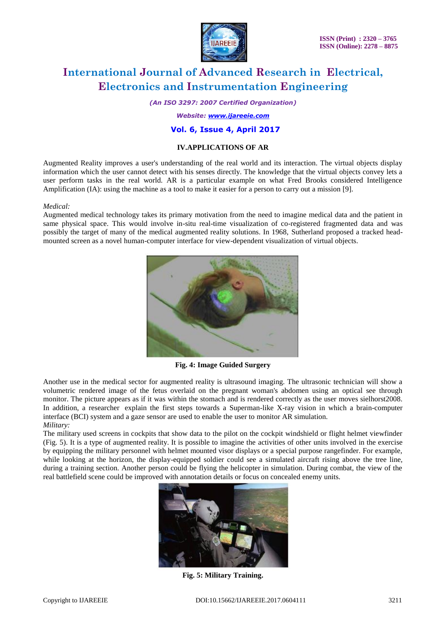

*(An ISO 3297: 2007 Certified Organization)*

#### *Website: [www.ijareeie.com](http://www.ijareeie.com/)*

### **Vol. 6, Issue 4, April 2017**

#### **IV.APPLICATIONS OF AR**

Augmented Reality improves a user's understanding of the real world and its interaction. The virtual objects display information which the user cannot detect with his senses directly. The knowledge that the virtual objects convey lets a user perform tasks in the real world. AR is a particular example on what Fred Brooks considered Intelligence Amplification (IA): using the machine as a tool to make it easier for a person to carry out a mission [9].

#### *Medical:*

Augmented medical technology takes its primary motivation from the need to imagine medical data and the patient in same physical space. This would involve in-situ real-time visualization of co-registered fragmented data and was possibly the target of many of the medical augmented reality solutions. In 1968, Sutherland proposed a tracked headmounted screen as a novel human-computer interface for view-dependent visualization of virtual objects.



**Fig. 4: Image Guided Surgery**

Another use in the medical sector for augmented reality is ultrasound imaging. The ultrasonic technician will show a volumetric rendered image of the fetus overlaid on the pregnant woman's abdomen using an optical see through monitor. The picture appears as if it was within the stomach and is rendered correctly as the user moves sielhorst2008. In addition, a researcher explain the first steps towards a Superman-like X-ray vision in which a brain-computer interface (BCI) system and a gaze sensor are used to enable the user to monitor AR simulation. *Military:*

The military used screens in cockpits that show data to the pilot on the cockpit windshield or flight helmet viewfinder (Fig. 5). It is a type of augmented reality. It is possible to imagine the activities of other units involved in the exercise by equipping the military personnel with helmet mounted visor displays or a special purpose rangefinder. For example, while looking at the horizon, the display-equipped soldier could see a simulated aircraft rising above the tree line, during a training section. Another person could be flying the helicopter in simulation. During combat, the view of the real battlefield scene could be improved with annotation details or focus on concealed enemy units.



**Fig. 5: Military Training.**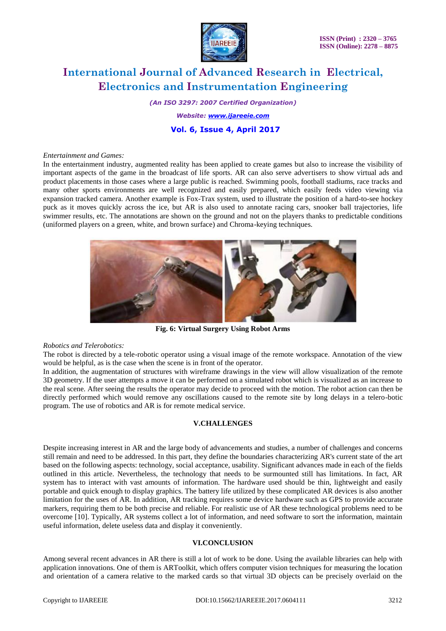

*(An ISO 3297: 2007 Certified Organization)*

*Website: [www.ijareeie.com](http://www.ijareeie.com/)*

### **Vol. 6, Issue 4, April 2017**

#### *Entertainment and Games:*

In the entertainment industry, augmented reality has been applied to create games but also to increase the visibility of important aspects of the game in the broadcast of life sports. AR can also serve advertisers to show virtual ads and product placements in those cases where a large public is reached. Swimming pools, football stadiums, race tracks and many other sports environments are well recognized and easily prepared, which easily feeds video viewing via expansion tracked camera. Another example is Fox-Trax system, used to illustrate the position of a hard-to-see hockey puck as it moves quickly across the ice, but AR is also used to annotate racing cars, snooker ball trajectories, life swimmer results, etc. The annotations are shown on the ground and not on the players thanks to predictable conditions (uniformed players on a green, white, and brown surface) and Chroma-keying techniques.



**Fig. 6: Virtual Surgery Using Robot Arms**

#### *Robotics and Telerobotics:*

The robot is directed by a tele-robotic operator using a visual image of the remote workspace. Annotation of the view would be helpful, as is the case when the scene is in front of the operator.

In addition, the augmentation of structures with wireframe drawings in the view will allow visualization of the remote 3D geometry. If the user attempts a move it can be performed on a simulated robot which is visualized as an increase to the real scene. After seeing the results the operator may decide to proceed with the motion. The robot action can then be directly performed which would remove any oscillations caused to the remote site by long delays in a telero-botic program. The use of robotics and AR is for remote medical service.

### **V.CHALLENGES**

Despite increasing interest in AR and the large body of advancements and studies, a number of challenges and concerns still remain and need to be addressed. In this part, they define the boundaries characterizing AR's current state of the art based on the following aspects: technology, social acceptance, usability. Significant advances made in each of the fields outlined in this article. Nevertheless, the technology that needs to be surmounted still has limitations. In fact, AR system has to interact with vast amounts of information. The hardware used should be thin, lightweight and easily portable and quick enough to display graphics. The battery life utilized by these complicated AR devices is also another limitation for the uses of AR. In addition, AR tracking requires some device hardware such as GPS to provide accurate markers, requiring them to be both precise and reliable. For realistic use of AR these technological problems need to be overcome [10]. Typically, AR systems collect a lot of information, and need software to sort the information, maintain useful information, delete useless data and display it conveniently.

#### **VI.CONCLUSION**

Among several recent advances in AR there is still a lot of work to be done. Using the available libraries can help with application innovations. One of them is ARToolkit, which offers computer vision techniques for measuring the location and orientation of a camera relative to the marked cards so that virtual 3D objects can be precisely overlaid on the